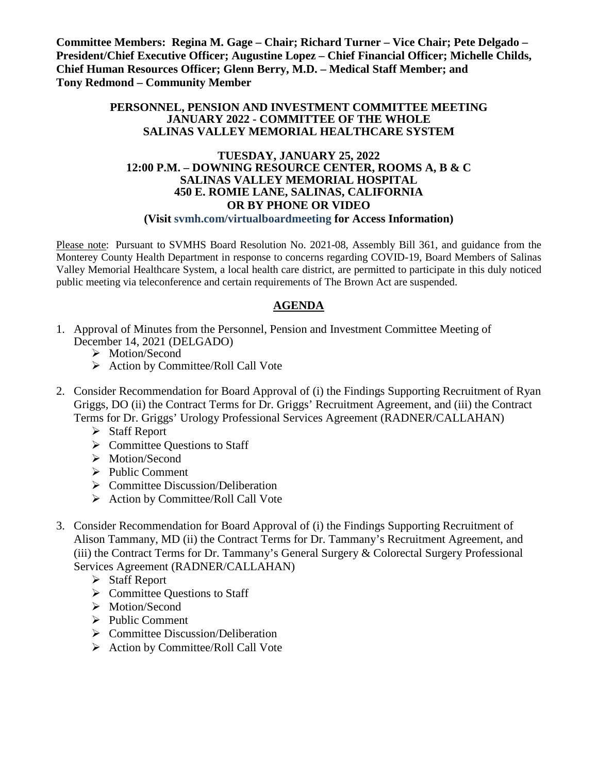**Committee Members: Regina M. Gage – Chair; Richard Turner – Vice Chair; Pete Delgado – President/Chief Executive Officer; Augustine Lopez – Chief Financial Officer; Michelle Childs, Chief Human Resources Officer; Glenn Berry, M.D. – Medical Staff Member; and Tony Redmond – Community Member**

#### **PERSONNEL, PENSION AND INVESTMENT COMMITTEE MEETING JANUARY 2022 - COMMITTEE OF THE WHOLE SALINAS VALLEY MEMORIAL HEALTHCARE SYSTEM**

#### **TUESDAY, JANUARY 25, 2022 12:00 P.M. – DOWNING RESOURCE CENTER, ROOMS A, B & C SALINAS VALLEY MEMORIAL HOSPITAL 450 E. ROMIE LANE, SALINAS, CALIFORNIA OR BY PHONE OR VIDEO**

#### **(Visit svmh.com/virtualboardmeeting for Access Information)**

Please note: Pursuant to SVMHS Board Resolution No. 2021-08, Assembly Bill 361, and guidance from the Monterey County Health Department in response to concerns regarding COVID-19, Board Members of Salinas Valley Memorial Healthcare System, a local health care district, are permitted to participate in this duly noticed public meeting via teleconference and certain requirements of The Brown Act are suspended.

#### **AGENDA**

- 1. Approval of Minutes from the Personnel, Pension and Investment Committee Meeting of December 14, 2021 (DELGADO)
	- > Motion/Second
	- $\triangleright$  Action by Committee/Roll Call Vote
- 2. Consider Recommendation for Board Approval of (i) the Findings Supporting Recruitment of Ryan Griggs, DO (ii) the Contract Terms for Dr. Griggs' Recruitment Agreement, and (iii) the Contract Terms for Dr. Griggs' Urology Professional Services Agreement (RADNER/CALLAHAN)
	- $\triangleright$  Staff Report
	- $\triangleright$  Committee Ouestions to Staff
	- > Motion/Second
	- $\triangleright$  Public Comment
	- ▶ Committee Discussion/Deliberation
	- $\triangleright$  Action by Committee/Roll Call Vote
- 3. Consider Recommendation for Board Approval of (i) the Findings Supporting Recruitment of Alison Tammany, MD (ii) the Contract Terms for Dr. Tammany's Recruitment Agreement, and (iii) the Contract Terms for Dr. Tammany's General Surgery & Colorectal Surgery Professional Services Agreement (RADNER/CALLAHAN)
	- $\triangleright$  Staff Report
	- $\triangleright$  Committee Questions to Staff
	- > Motion/Second
	- $\triangleright$  Public Comment
	- $\triangleright$  Committee Discussion/Deliberation
	- $\triangleright$  Action by Committee/Roll Call Vote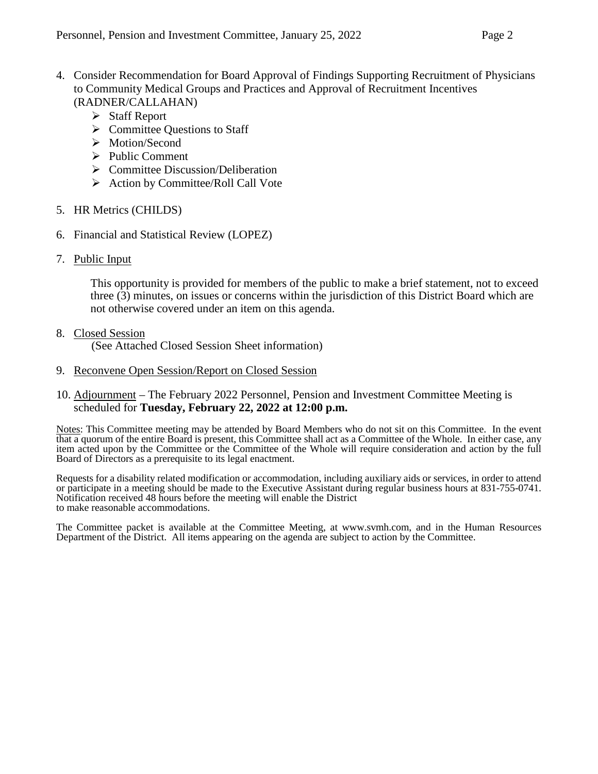- 4. Consider Recommendation for Board Approval of Findings Supporting Recruitment of Physicians to Community Medical Groups and Practices and Approval of Recruitment Incentives (RADNER/CALLAHAN)
	- Staff Report
	- $\triangleright$  Committee Questions to Staff
	- > Motion/Second
	- $\triangleright$  Public Comment
	- $\triangleright$  Committee Discussion/Deliberation
	- $\triangleright$  Action by Committee/Roll Call Vote
- 5. HR Metrics (CHILDS)
- 6. Financial and Statistical Review (LOPEZ)
- 7. Public Input

This opportunity is provided for members of the public to make a brief statement, not to exceed three (3) minutes, on issues or concerns within the jurisdiction of this District Board which are not otherwise covered under an item on this agenda.

8. Closed Session

(See Attached Closed Session Sheet information)

- 9. Reconvene Open Session/Report on Closed Session
- 10. Adjournment The February 2022 Personnel, Pension and Investment Committee Meeting is scheduled for **Tuesday, February 22, 2022 at 12:00 p.m.**

Notes: This Committee meeting may be attended by Board Members who do not sit on this Committee. In the event that a quorum of the entire Board is present, this Committee shall act as a Committee of the Whole. In either case, any item acted upon by the Committee or the Committee of the Whole will require consideration and action by the full Board of Directors as a prerequisite to its legal enactment.

Requests for a disability related modification or accommodation, including auxiliary aids or services, in order to attend or participate in a meeting should be made to the Executive Assistant during regular business hours at 831-755-0741. Notification received 48 hours before the meeting will enable the District to make reasonable accommodations.

The Committee packet is available at the Committee Meeting, at [www.svmh.com,](http://www.svmh.com/) and in the Human Resources Department of the District. All items appearing on the agenda are subject to action by the Committee.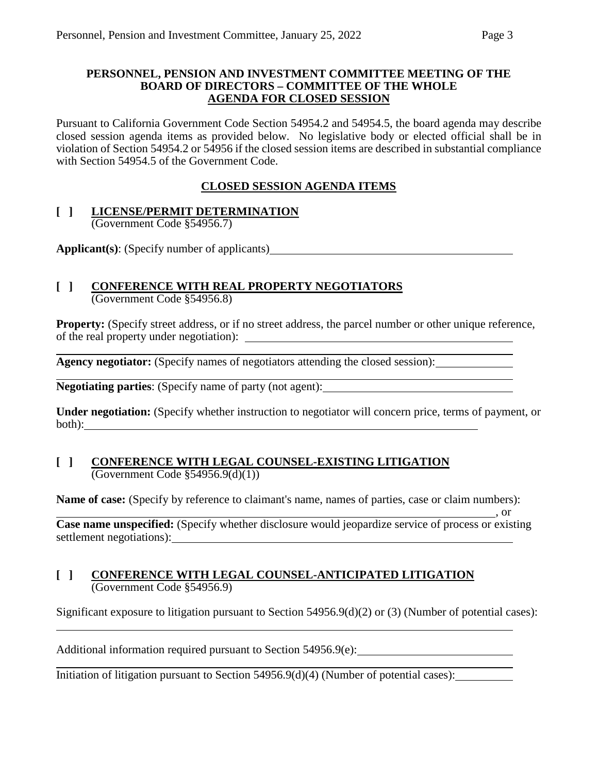#### **PERSONNEL, PENSION AND INVESTMENT COMMITTEE MEETING OF THE BOARD OF DIRECTORS – COMMITTEE OF THE WHOLE AGENDA FOR CLOSED SESSION**

Pursuant to California Government Code Section 54954.2 and 54954.5, the board agenda may describe closed session agenda items as provided below. No legislative body or elected official shall be in violation of Section 54954.2 or 54956 if the closed session items are described in substantial compliance with Section 54954.5 of the Government Code.

### **CLOSED SESSION AGENDA ITEMS**

#### **[ ] LICENSE/PERMIT DETERMINATION** (Government Code §54956.7)

**Applicant(s)**: (Specify number of applicants)

# **[ ] CONFERENCE WITH REAL PROPERTY NEGOTIATORS**

(Government Code §54956.8)

**Property:** (Specify street address, or if no street address, the parcel number or other unique reference, of the real property under negotiation):

**Agency negotiator:** (Specify names of negotiators attending the closed session):

**Negotiating parties**: (Specify name of party (not agent):

**Under negotiation:** (Specify whether instruction to negotiator will concern price, terms of payment, or both):

#### **[ ] CONFERENCE WITH LEGAL COUNSEL-EXISTING LITIGATION**  $\overline{(Government Code \$  54956.9(d)(1))}

**Name of case:** (Specify by reference to claimant's name, names of parties, case or claim numbers):

 $\frac{1}{\sqrt{2}}$ , or **Case name unspecified:** (Specify whether disclosure would jeopardize service of process or existing settlement negotiations):

#### **[ ] CONFERENCE WITH LEGAL COUNSEL-ANTICIPATED LITIGATION** (Government Code §54956.9)

Significant exposure to litigation pursuant to Section 54956.9(d)(2) or (3) (Number of potential cases):

Additional information required pursuant to Section 54956.9(e):

Initiation of litigation pursuant to Section 54956.9(d)(4) (Number of potential cases):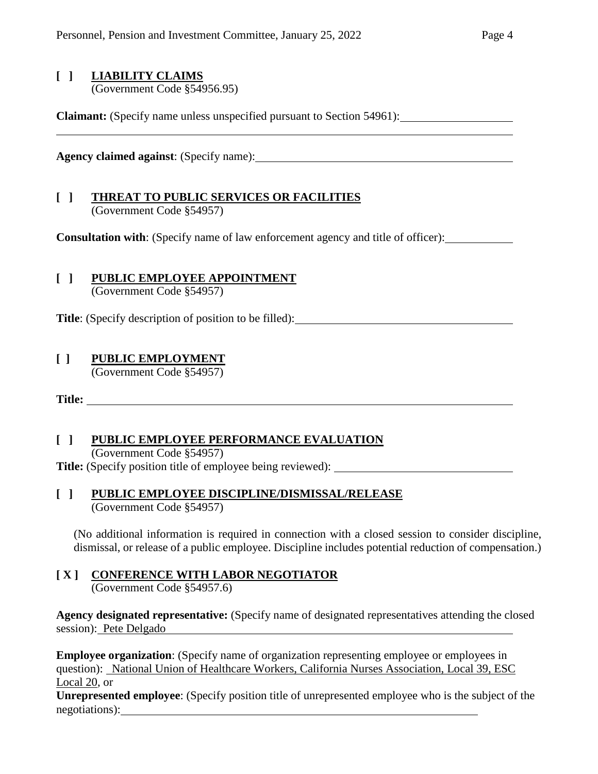# **[ ] LIABILITY CLAIMS**

(Government Code §54956.95)

**Claimant:** (Specify name unless unspecified pursuant to Section 54961):

**Agency claimed against**: (Specify name):

#### **[ ] THREAT TO PUBLIC SERVICES OR FACILITIES** (Government Code §54957)

**Consultation with**: (Specify name of law enforcement agency and title of officer):

### **[ ] PUBLIC EMPLOYEE APPOINTMENT**

(Government Code §54957)

**Title**: (Specify description of position to be filled):

### **[ ] PUBLIC EMPLOYMENT**

(Government Code §54957)

**Title:** 

### **[ ] PUBLIC EMPLOYEE PERFORMANCE EVALUATION**

(Government Code §54957)

**Title:** (Specify position title of employee being reviewed):

#### **[ ] PUBLIC EMPLOYEE DISCIPLINE/DISMISSAL/RELEASE** (Government Code §54957)

(No additional information is required in connection with a closed session to consider discipline, dismissal, or release of a public employee. Discipline includes potential reduction of compensation.)

### **[ X ] CONFERENCE WITH LABOR NEGOTIATOR**

(Government Code §54957.6)

**Agency designated representative:** (Specify name of designated representatives attending the closed session): Pete Delgado

**Employee organization:** (Specify name of organization representing employee or employees in question): National Union of Healthcare Workers, California Nurses Association, Local 39, ESC Local 20, or

**Unrepresented employee**: (Specify position title of unrepresented employee who is the subject of the negotiations):